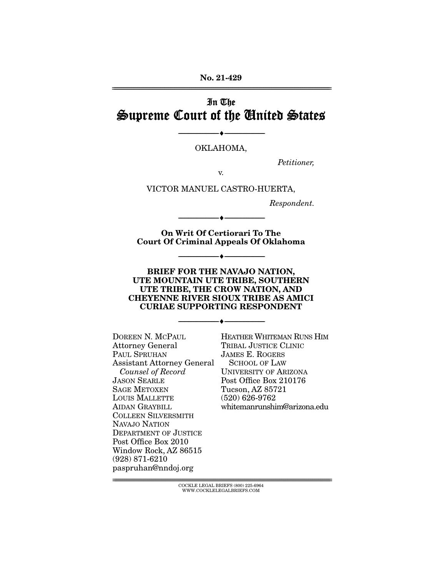**No. 21-429**  ================================================================================================================

# In The Supreme Court of the United States

OKLAHOMA,

--------------------------------- ♦ ---------------------------------

Petitioner,

v.

VICTOR MANUEL CASTRO-HUERTA,

Respondent.

**On Writ Of Certiorari To The Court Of Criminal Appeals Of Oklahoma** 

--------------------------------- ♦ ---------------------------------

--------------------------------- ♦ ---------------------------------

**BRIEF FOR THE NAVAJO NATION, UTE MOUNTAIN UTE TRIBE, SOUTHERN UTE TRIBE, THE CROW NATION, AND CHEYENNE RIVER SIOUX TRIBE AS AMICI CURIAE SUPPORTING RESPONDENT** 

--------------------------------- ♦ ---------------------------------

DOREEN N. MCPAUL Attorney General PAUL SPRUHAN Assistant Attorney General Counsel of Record JASON SEARLE SAGE METOXEN LOUIS MALLETTE AIDAN GRAYBILL COLLEEN SILVERSMITH NAVAJO NATION DEPARTMENT OF JUSTICE Post Office Box 2010 Window Rock, AZ 86515 (928) 871-6210 paspruhan@nndoj.org

HEATHER WHITEMAN RUNS HIM TRIBAL JUSTICE CLINIC JAMES E. ROGERS SCHOOL OF LAW UNIVERSITY OF ARIZONA Post Office Box 210176 Tucson, AZ 85721 (520) 626-9762 whitemanrunshim@arizona.edu

 $\text{COCKLE LEGAL BRIEFS}$  (800) 225-6964 WWW.COCKLELEGALBRIEFS.COM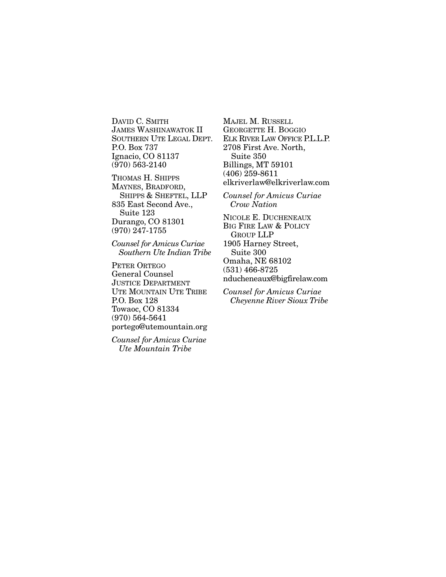DAVID C. SMITH JAMES WASHINAWATOK II SOUTHERN UTE LEGAL DEPT. P.O. Box 737 Ignacio, CO 81137 (970) 563-2140

THOMAS H. SHIPPS MAYNES, BRADFORD, SHIPPS & SHEFTEL, LLP 835 East Second Ave., Suite 123 Durango, CO 81301 (970) 247-1755

*Counsel for Amicus Curiae Southern Ute Indian Tribe* 

PETER ORTEGO General Counsel JUSTICE DEPARTMENT UTE MOUNTAIN UTE TRIBE P.O. Box 128 Towaoc, CO 81334 (970) 564-5641 portego@utemountain.org

*Counsel for Amicus Curiae Ute Mountain Tribe* 

MAJEL M. RUSSELL GEORGETTE H. BOGGIO ELK RIVER LAW OFFICE P.L.L.P. 2708 First Ave. North, Suite 350 Billings, MT 59101 (406) 259-8611 elkriverlaw@elkriverlaw.com *Counsel for Amicus Curiae Crow Nation*

NICOLE E. DUCHENEAUX BIG FIRE LAW & POLICY GROUP LLP 1905 Harney Street, Suite 300 Omaha, NE 68102 (531) 466-8725 nducheneaux@bigfirelaw.com

*Counsel for Amicus Curiae Cheyenne River Sioux Tribe*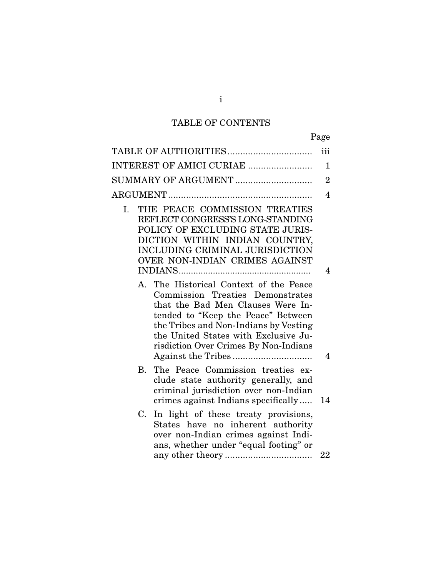# TABLE OF CONTENTS

|                                                                                                                                                                                                                                                                                 | iii            |
|---------------------------------------------------------------------------------------------------------------------------------------------------------------------------------------------------------------------------------------------------------------------------------|----------------|
| INTEREST OF AMICI CURIAE                                                                                                                                                                                                                                                        | $\mathbf 1$    |
| SUMMARY OF ARGUMENT                                                                                                                                                                                                                                                             | $\overline{2}$ |
|                                                                                                                                                                                                                                                                                 | $\overline{4}$ |
| THE PEACE COMMISSION TREATIES<br>Ι.<br>REFLECT CONGRESS'S LONG-STANDING<br>POLICY OF EXCLUDING STATE JURIS-<br>DICTION WITHIN INDIAN COUNTRY,<br>INCLUDING CRIMINAL JURISDICTION<br>OVER NON-INDIAN CRIMES AGAINST                                                              | $\overline{4}$ |
| A. The Historical Context of the Peace<br>Commission Treaties Demonstrates<br>that the Bad Men Clauses Were In-<br>tended to "Keep the Peace" Between<br>the Tribes and Non-Indians by Vesting<br>the United States with Exclusive Ju-<br>risdiction Over Crimes By Non-Indians | 4              |
| The Peace Commission treaties ex-<br>В.<br>clude state authority generally, and<br>criminal jurisdiction over non-Indian<br>crimes against Indians specifically                                                                                                                 | 14             |
| In light of these treaty provisions,<br>C.<br>States have no inherent authority<br>over non-Indian crimes against Indi-<br>ans, whether under "equal footing" or                                                                                                                | 22             |
|                                                                                                                                                                                                                                                                                 |                |

i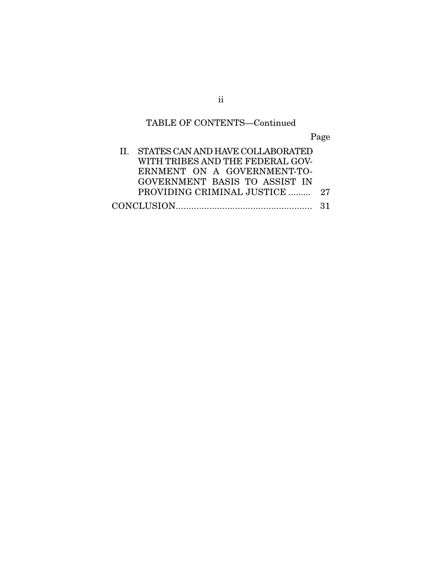# TABLE OF CONTENTS—Continued

Page

| II. STATES CAN AND HAVE COLLABORATED |  |
|--------------------------------------|--|
| WITH TRIBES AND THE FEDERAL GOV-     |  |
| ERNMENT ON A GOVERNMENT-TO-          |  |
| GOVERNMENT BASIS TO ASSIST IN        |  |
| PROVIDING CRIMINAL JUSTICE  27       |  |
|                                      |  |

ii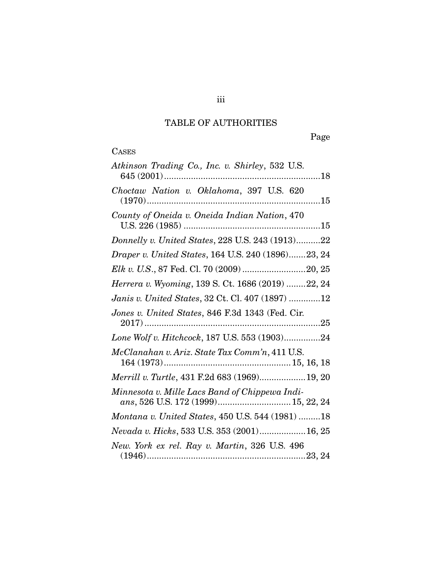# TABLE OF AUTHORITIES

Page

| ASE<br>$\mathbf{r}$ |
|---------------------|
|---------------------|

| Atkinson Trading Co., Inc. v. Shirley, 532 U.S.                                       |
|---------------------------------------------------------------------------------------|
| Choctaw Nation v. Oklahoma, 397 U.S. 620                                              |
| County of Oneida v. Oneida Indian Nation, 470                                         |
| Donnelly v. United States, 228 U.S. 243 (1913)22                                      |
| Draper v. United States, 164 U.S. 240 (1896)23, 24                                    |
| Elk v. U.S., 87 Fed. Cl. 70 (2009) 20, 25                                             |
| Herrera v. Wyoming, 139 S. Ct. 1686 (2019) 22, 24                                     |
| Janis v. United States, 32 Ct. Cl. 407 (1897) 12                                      |
| Jones v. United States, 846 F.3d 1343 (Fed. Cir.                                      |
| Lone Wolf v. Hitchcock, 187 U.S. 553 (1903)24                                         |
| McClanahan v. Ariz. State Tax Comm'n, 411 U.S.                                        |
| Merrill v. Turtle, 431 F.2d 683 (1969)19, 20                                          |
| Minnesota v. Mille Lacs Band of Chippewa Indi-<br>ans, 526 U.S. 172 (1999) 15, 22, 24 |
| Montana v. United States, 450 U.S. 544 (1981) 18                                      |
| Nevada v. Hicks, 533 U.S. 353 (2001) 16, 25                                           |
| New. York ex rel. Ray v. Martin, 326 U.S. 496                                         |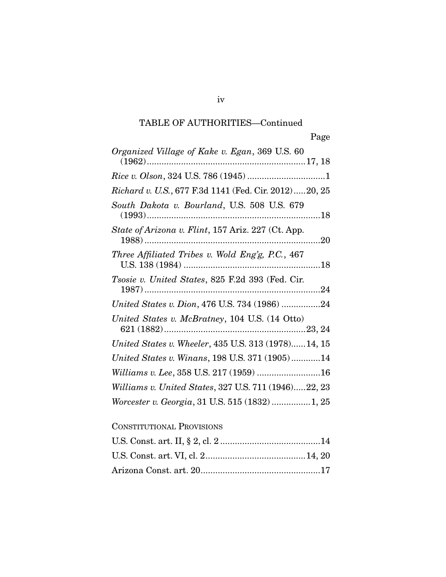| Organized Village of Kake v. Egan, 369 U.S. 60        |
|-------------------------------------------------------|
|                                                       |
| Richard v. U.S., 677 F.3d 1141 (Fed. Cir. 2012)20, 25 |
| South Dakota v. Bourland, U.S. 508 U.S. 679           |
| State of Arizona v. Flint, 157 Ariz. 227 (Ct. App.    |
| Three Affiliated Tribes v. Wold Eng'g, P.C., 467      |
| Tsosie v. United States, 825 F.2d 393 (Fed. Cir.      |
| United States v. Dion, 476 U.S. 734 (1986) 24         |
| United States v. McBratney, 104 U.S. (14 Otto)        |
| United States v. Wheeler, 435 U.S. 313 (1978)14, 15   |
| United States v. Winans, 198 U.S. 371 (1905)14        |
| Williams v. Lee, 358 U.S. 217 (1959) 16               |
| Williams v. United States, 327 U.S. 711 (1946)22, 23  |
| Worcester v. Georgia, 31 U.S. 515 (1832)1, 25         |
| <b>CONSTITUTIONAL PROVISIONS</b>                      |

# U.S. Const. art. II, § 2, cl. 2 ......................................... 14 U.S. Const. art. VI, cl. 2 ......................................... 14, 20 Arizona Const. art. 20 ................................................. 17

iv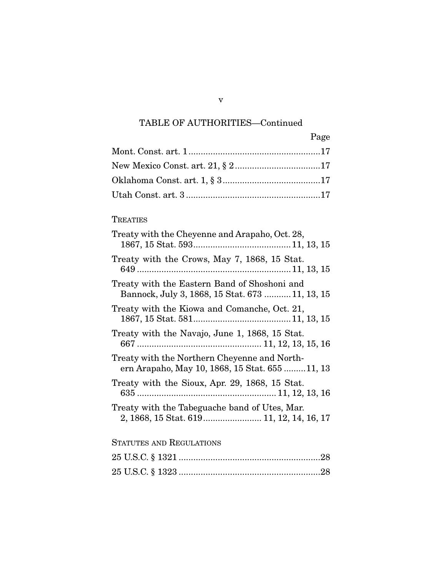| Page |
|------|
|      |
|      |
|      |
|      |

### **TREATIES**

| Treaty with the Cheyenne and Arapaho, Oct. 28,                                                  |
|-------------------------------------------------------------------------------------------------|
| Treaty with the Crows, May 7, 1868, 15 Stat.                                                    |
| Treaty with the Eastern Band of Shoshoni and<br>Bannock, July 3, 1868, 15 Stat. 673  11, 13, 15 |
| Treaty with the Kiowa and Comanche, Oct. 21,                                                    |
| Treaty with the Navajo, June 1, 1868, 15 Stat.                                                  |
| Treaty with the Northern Cheyenne and North-<br>ern Arapaho, May 10, 1868, 15 Stat. 655  11, 13 |
| Treaty with the Sioux, Apr. 29, 1868, 15 Stat.                                                  |
| Treaty with the Tabeguache band of Utes, Mar.<br>2, 1868, 15 Stat. 619 11, 12, 14, 16, 17       |

## STATUTES AND REGULATIONS

v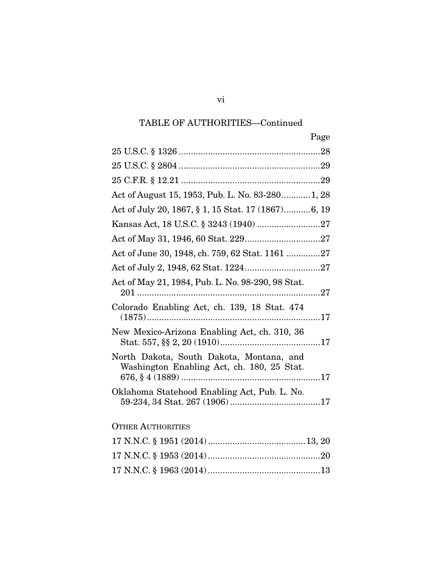|                                                                                        | Page |
|----------------------------------------------------------------------------------------|------|
|                                                                                        |      |
|                                                                                        |      |
|                                                                                        |      |
| Act of August 15, 1953, Pub. L. No. 83-280 1, 28                                       |      |
| Act of July 20, 1867, § 1, 15 Stat. 17 (1867)6, 19                                     |      |
|                                                                                        |      |
|                                                                                        |      |
| Act of June 30, 1948, ch. 759, 62 Stat. 1161 27                                        |      |
|                                                                                        |      |
| Act of May 21, 1984, Pub. L. No. 98-290, 98 Stat.                                      |      |
| Colorado Enabling Act, ch. 139, 18 Stat. 474                                           |      |
| New Mexico-Arizona Enabling Act, ch. 310, 36                                           |      |
| North Dakota, South Dakota, Montana, and<br>Washington Enabling Act, ch. 180, 25 Stat. |      |
| Oklahoma Statehood Enabling Act, Pub. L. No.                                           |      |
| <b>OTHER AUTHORITIES</b>                                                               |      |
|                                                                                        |      |
|                                                                                        |      |
|                                                                                        |      |

vi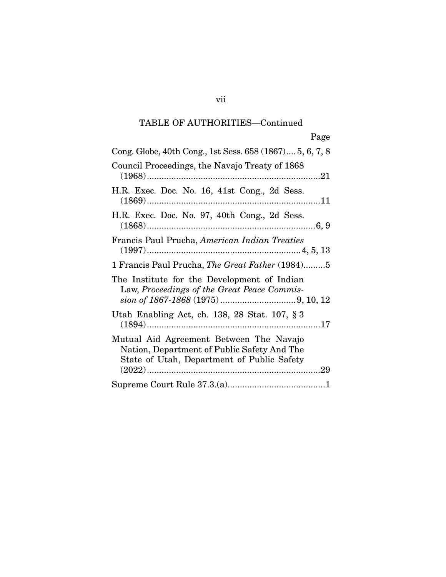| Page                                                                                                                                 |
|--------------------------------------------------------------------------------------------------------------------------------------|
| Cong. Globe, 40th Cong., 1st Sess. 658 (1867) 5, 6, 7, 8                                                                             |
| Council Proceedings, the Navajo Treaty of 1868                                                                                       |
| H.R. Exec. Doc. No. 16, 41st Cong., 2d Sess.                                                                                         |
| H.R. Exec. Doc. No. 97, 40th Cong., 2d Sess.                                                                                         |
| Francis Paul Prucha, American Indian Treaties                                                                                        |
| 1 Francis Paul Prucha, <i>The Great Father</i> (1984)5                                                                               |
| The Institute for the Development of Indian<br>Law, Proceedings of the Great Peace Commis-                                           |
| Utah Enabling Act, ch. 138, 28 Stat. 107, § 3                                                                                        |
| Mutual Aid Agreement Between The Navajo<br>Nation, Department of Public Safety And The<br>State of Utah, Department of Public Safety |
|                                                                                                                                      |

vii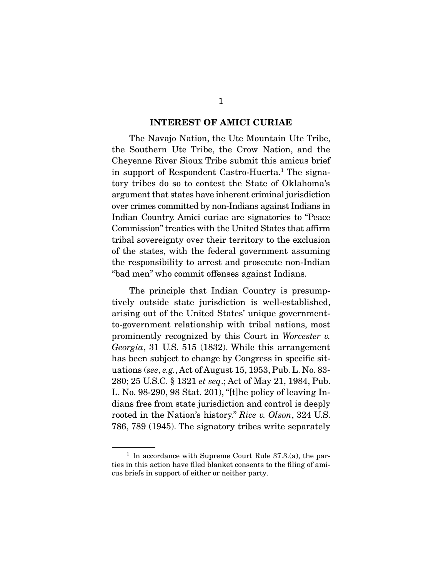#### **INTEREST OF AMICI CURIAE**

 The Navajo Nation, the Ute Mountain Ute Tribe, the Southern Ute Tribe, the Crow Nation, and the Cheyenne River Sioux Tribe submit this amicus brief in support of Respondent Castro-Huerta.<sup>1</sup> The signatory tribes do so to contest the State of Oklahoma's argument that states have inherent criminal jurisdiction over crimes committed by non-Indians against Indians in Indian Country. Amici curiae are signatories to "Peace Commission" treaties with the United States that affirm tribal sovereignty over their territory to the exclusion of the states, with the federal government assuming the responsibility to arrest and prosecute non-Indian "bad men" who commit offenses against Indians.

 The principle that Indian Country is presumptively outside state jurisdiction is well-established, arising out of the United States' unique governmentto-government relationship with tribal nations, most prominently recognized by this Court in Worcester v. Georgia, 31 U.S. 515 (1832). While this arrangement has been subject to change by Congress in specific situations (see, e.g., Act of August 15, 1953, Pub. L. No. 83- 280; 25 U.S.C. § 1321 et seq.; Act of May 21, 1984, Pub. L. No. 98-290, 98 Stat. 201), "[t]he policy of leaving Indians free from state jurisdiction and control is deeply rooted in the Nation's history." Rice v. Olson, 324 U.S. 786, 789 (1945). The signatory tribes write separately

<sup>&</sup>lt;sup>1</sup> In accordance with Supreme Court Rule  $37.3(a)$ , the parties in this action have filed blanket consents to the filing of amicus briefs in support of either or neither party.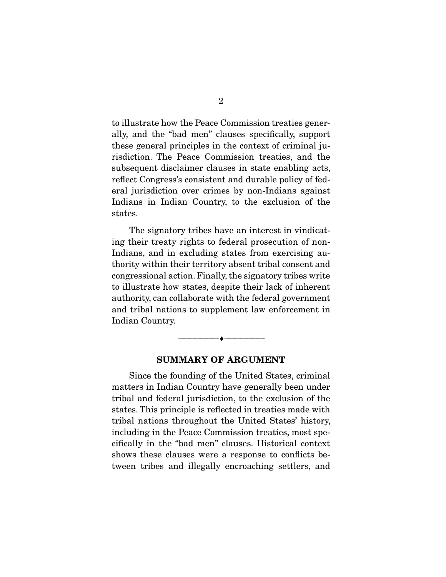to illustrate how the Peace Commission treaties generally, and the "bad men" clauses specifically, support these general principles in the context of criminal jurisdiction. The Peace Commission treaties, and the subsequent disclaimer clauses in state enabling acts, reflect Congress's consistent and durable policy of federal jurisdiction over crimes by non-Indians against Indians in Indian Country, to the exclusion of the states.

 The signatory tribes have an interest in vindicating their treaty rights to federal prosecution of non-Indians, and in excluding states from exercising authority within their territory absent tribal consent and congressional action. Finally, the signatory tribes write to illustrate how states, despite their lack of inherent authority, can collaborate with the federal government and tribal nations to supplement law enforcement in Indian Country.

#### **SUMMARY OF ARGUMENT**

--------------------------------- ♦ ---------------------------------

 Since the founding of the United States, criminal matters in Indian Country have generally been under tribal and federal jurisdiction, to the exclusion of the states. This principle is reflected in treaties made with tribal nations throughout the United States' history, including in the Peace Commission treaties, most specifically in the "bad men" clauses. Historical context shows these clauses were a response to conflicts between tribes and illegally encroaching settlers, and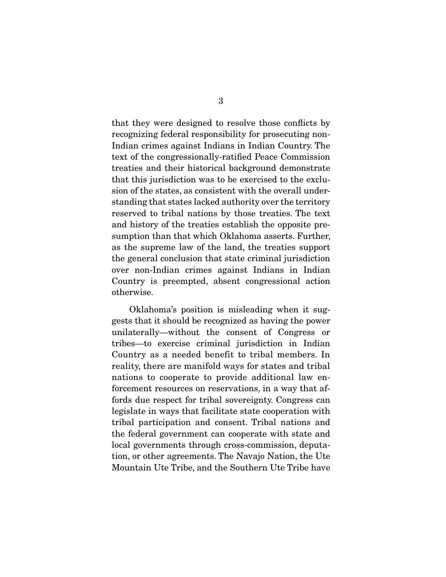that they were designed to resolve those conflicts by recognizing federal responsibility for prosecuting non-Indian crimes against Indians in Indian Country. The text of the congressionally-ratified Peace Commission treaties and their historical background demonstrate that this jurisdiction was to be exercised to the exclusion of the states, as consistent with the overall understanding that states lacked authority over the territory reserved to tribal nations by those treaties. The text and history of the treaties establish the opposite presumption than that which Oklahoma asserts. Further, as the supreme law of the land, the treaties support the general conclusion that state criminal jurisdiction over non-Indian crimes against Indians in Indian Country is preempted, absent congressional action otherwise.

 Oklahoma's position is misleading when it suggests that it should be recognized as having the power unilaterally—without the consent of Congress or tribes—to exercise criminal jurisdiction in Indian Country as a needed benefit to tribal members. In reality, there are manifold ways for states and tribal nations to cooperate to provide additional law enforcement resources on reservations, in a way that affords due respect for tribal sovereignty. Congress can legislate in ways that facilitate state cooperation with tribal participation and consent. Tribal nations and the federal government can cooperate with state and local governments through cross-commission, deputation, or other agreements. The Navajo Nation, the Ute Mountain Ute Tribe, and the Southern Ute Tribe have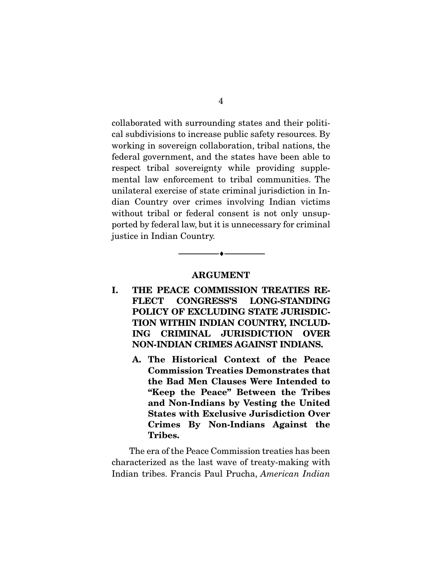collaborated with surrounding states and their political subdivisions to increase public safety resources. By working in sovereign collaboration, tribal nations, the federal government, and the states have been able to respect tribal sovereignty while providing supplemental law enforcement to tribal communities. The unilateral exercise of state criminal jurisdiction in Indian Country over crimes involving Indian victims without tribal or federal consent is not only unsupported by federal law, but it is unnecessary for criminal justice in Indian Country.

#### **ARGUMENT**

 $\overbrace{\hspace{2.5cm}}^{\bullet}$   $\overbrace{\hspace{2.5cm}}^{\bullet}$ 

- **I. THE PEACE COMMISSION TREATIES RE-FLECT CONGRESS'S LONG-STANDING POLICY OF EXCLUDING STATE JURISDIC-TION WITHIN INDIAN COUNTRY, INCLUD-ING CRIMINAL JURISDICTION OVER NON-INDIAN CRIMES AGAINST INDIANS.** 
	- **A. The Historical Context of the Peace Commission Treaties Demonstrates that the Bad Men Clauses Were Intended to "Keep the Peace" Between the Tribes and Non-Indians by Vesting the United States with Exclusive Jurisdiction Over Crimes By Non-Indians Against the Tribes.**

 The era of the Peace Commission treaties has been characterized as the last wave of treaty-making with Indian tribes. Francis Paul Prucha, American Indian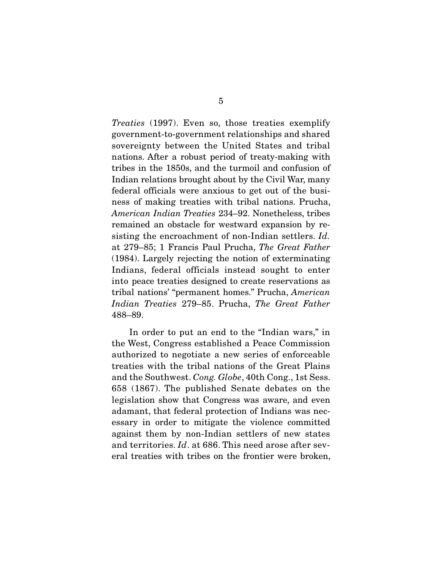Treaties (1997). Even so, those treaties exemplify government-to-government relationships and shared sovereignty between the United States and tribal nations. After a robust period of treaty-making with tribes in the 1850s, and the turmoil and confusion of Indian relations brought about by the Civil War, many federal officials were anxious to get out of the business of making treaties with tribal nations. Prucha, American Indian Treaties 234–92. Nonetheless, tribes remained an obstacle for westward expansion by resisting the encroachment of non-Indian settlers. Id. at 279–85; 1 Francis Paul Prucha, The Great Father (1984). Largely rejecting the notion of exterminating Indians, federal officials instead sought to enter into peace treaties designed to create reservations as tribal nations' "permanent homes." Prucha, American Indian Treaties 279–85. Prucha, The Great Father 488–89.

 In order to put an end to the "Indian wars," in the West, Congress established a Peace Commission authorized to negotiate a new series of enforceable treaties with the tribal nations of the Great Plains and the Southwest. Cong. Globe, 40th Cong., 1st Sess. 658 (1867). The published Senate debates on the legislation show that Congress was aware, and even adamant, that federal protection of Indians was necessary in order to mitigate the violence committed against them by non-Indian settlers of new states and territories. Id. at 686. This need arose after several treaties with tribes on the frontier were broken,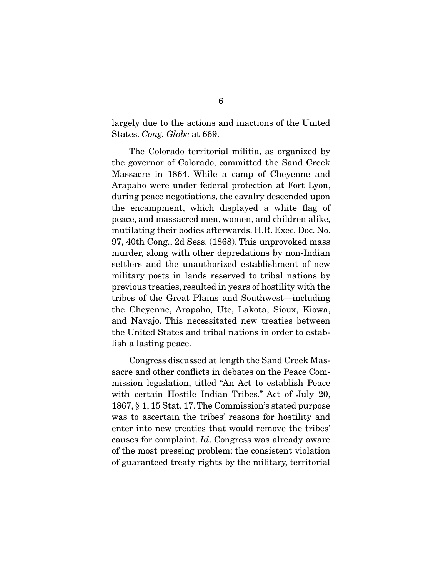largely due to the actions and inactions of the United States. Cong. Globe at 669.

 The Colorado territorial militia, as organized by the governor of Colorado, committed the Sand Creek Massacre in 1864. While a camp of Cheyenne and Arapaho were under federal protection at Fort Lyon, during peace negotiations, the cavalry descended upon the encampment, which displayed a white flag of peace, and massacred men, women, and children alike, mutilating their bodies afterwards. H.R. Exec. Doc. No. 97, 40th Cong., 2d Sess. (1868). This unprovoked mass murder, along with other depredations by non-Indian settlers and the unauthorized establishment of new military posts in lands reserved to tribal nations by previous treaties, resulted in years of hostility with the tribes of the Great Plains and Southwest—including the Cheyenne, Arapaho, Ute, Lakota, Sioux, Kiowa, and Navajo. This necessitated new treaties between the United States and tribal nations in order to establish a lasting peace.

 Congress discussed at length the Sand Creek Massacre and other conflicts in debates on the Peace Commission legislation, titled "An Act to establish Peace with certain Hostile Indian Tribes." Act of July 20, 1867, § 1, 15 Stat. 17. The Commission's stated purpose was to ascertain the tribes' reasons for hostility and enter into new treaties that would remove the tribes' causes for complaint. Id. Congress was already aware of the most pressing problem: the consistent violation of guaranteed treaty rights by the military, territorial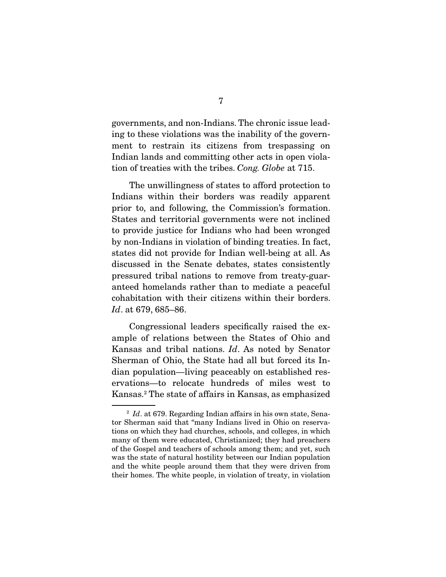governments, and non-Indians. The chronic issue leading to these violations was the inability of the government to restrain its citizens from trespassing on Indian lands and committing other acts in open violation of treaties with the tribes. Cong. Globe at 715.

 The unwillingness of states to afford protection to Indians within their borders was readily apparent prior to, and following, the Commission's formation. States and territorial governments were not inclined to provide justice for Indians who had been wronged by non-Indians in violation of binding treaties. In fact, states did not provide for Indian well-being at all. As discussed in the Senate debates, states consistently pressured tribal nations to remove from treaty-guaranteed homelands rather than to mediate a peaceful cohabitation with their citizens within their borders. Id. at 679, 685–86.

 Congressional leaders specifically raised the example of relations between the States of Ohio and Kansas and tribal nations. Id. As noted by Senator Sherman of Ohio, the State had all but forced its Indian population—living peaceably on established reservations—to relocate hundreds of miles west to Kansas.2 The state of affairs in Kansas, as emphasized

 $2 \text{ Id. at } 679$ . Regarding Indian affairs in his own state, Senator Sherman said that "many Indians lived in Ohio on reservations on which they had churches, schools, and colleges, in which many of them were educated, Christianized; they had preachers of the Gospel and teachers of schools among them; and yet, such was the state of natural hostility between our Indian population and the white people around them that they were driven from their homes. The white people, in violation of treaty, in violation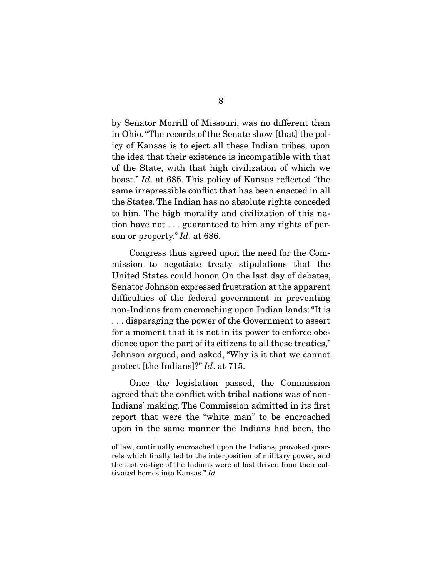by Senator Morrill of Missouri, was no different than in Ohio. "The records of the Senate show [that] the policy of Kansas is to eject all these Indian tribes, upon the idea that their existence is incompatible with that of the State, with that high civilization of which we boast." Id. at 685. This policy of Kansas reflected "the same irrepressible conflict that has been enacted in all the States. The Indian has no absolute rights conceded to him. The high morality and civilization of this nation have not . . . guaranteed to him any rights of person or property." Id. at 686.

 Congress thus agreed upon the need for the Commission to negotiate treaty stipulations that the United States could honor. On the last day of debates, Senator Johnson expressed frustration at the apparent difficulties of the federal government in preventing non-Indians from encroaching upon Indian lands: "It is . . . disparaging the power of the Government to assert for a moment that it is not in its power to enforce obedience upon the part of its citizens to all these treaties," Johnson argued, and asked, "Why is it that we cannot protect [the Indians]?" Id. at 715.

 Once the legislation passed, the Commission agreed that the conflict with tribal nations was of non-Indians' making. The Commission admitted in its first report that were the "white man" to be encroached upon in the same manner the Indians had been, the

of law, continually encroached upon the Indians, provoked quarrels which finally led to the interposition of military power, and the last vestige of the Indians were at last driven from their cultivated homes into Kansas." Id.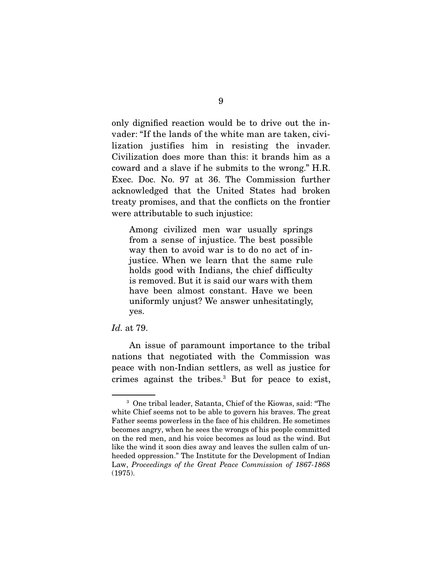only dignified reaction would be to drive out the invader: "If the lands of the white man are taken, civilization justifies him in resisting the invader. Civilization does more than this: it brands him as a coward and a slave if he submits to the wrong." H.R. Exec. Doc. No. 97 at 36. The Commission further acknowledged that the United States had broken treaty promises, and that the conflicts on the frontier were attributable to such injustice:

Among civilized men war usually springs from a sense of injustice. The best possible way then to avoid war is to do no act of injustice. When we learn that the same rule holds good with Indians, the chief difficulty is removed. But it is said our wars with them have been almost constant. Have we been uniformly unjust? We answer unhesitatingly, yes.

#### Id. at 79.

 An issue of paramount importance to the tribal nations that negotiated with the Commission was peace with non-Indian settlers, as well as justice for crimes against the tribes.3 But for peace to exist,

<sup>3</sup> One tribal leader, Satanta, Chief of the Kiowas, said: "The white Chief seems not to be able to govern his braves. The great Father seems powerless in the face of his children. He sometimes becomes angry, when he sees the wrongs of his people committed on the red men, and his voice becomes as loud as the wind. But like the wind it soon dies away and leaves the sullen calm of unheeded oppression." The Institute for the Development of Indian Law, Proceedings of the Great Peace Commission of 1867-1868 (1975).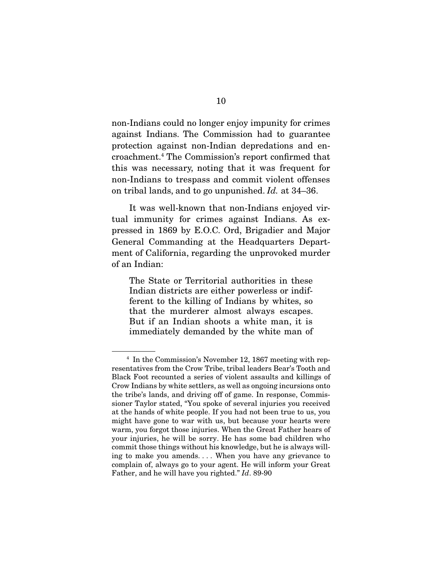non-Indians could no longer enjoy impunity for crimes against Indians. The Commission had to guarantee protection against non-Indian depredations and encroachment.4 The Commission's report confirmed that this was necessary, noting that it was frequent for non-Indians to trespass and commit violent offenses on tribal lands, and to go unpunished. Id. at 34–36.

 It was well-known that non-Indians enjoyed virtual immunity for crimes against Indians. As expressed in 1869 by E.O.C. Ord, Brigadier and Major General Commanding at the Headquarters Department of California, regarding the unprovoked murder of an Indian:

The State or Territorial authorities in these Indian districts are either powerless or indifferent to the killing of Indians by whites, so that the murderer almost always escapes. But if an Indian shoots a white man, it is immediately demanded by the white man of

<sup>4</sup> In the Commission's November 12, 1867 meeting with representatives from the Crow Tribe, tribal leaders Bear's Tooth and Black Foot recounted a series of violent assaults and killings of Crow Indians by white settlers, as well as ongoing incursions onto the tribe's lands, and driving off of game. In response, Commissioner Taylor stated, "You spoke of several injuries you received at the hands of white people. If you had not been true to us, you might have gone to war with us, but because your hearts were warm, you forgot those injuries. When the Great Father hears of your injuries, he will be sorry. He has some bad children who commit those things without his knowledge, but he is always willing to make you amends. . . . When you have any grievance to complain of, always go to your agent. He will inform your Great Father, and he will have you righted." Id. 89-90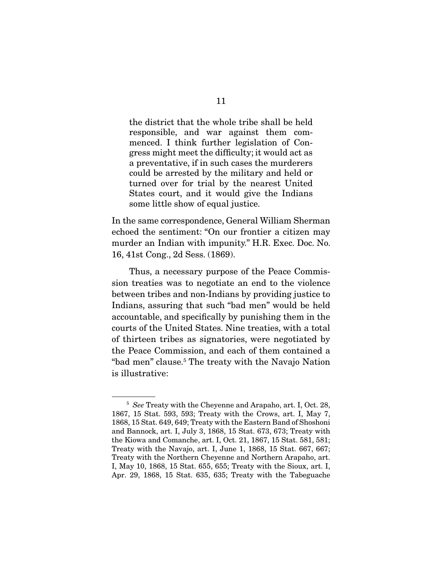the district that the whole tribe shall be held responsible, and war against them commenced. I think further legislation of Congress might meet the difficulty; it would act as a preventative, if in such cases the murderers could be arrested by the military and held or turned over for trial by the nearest United States court, and it would give the Indians some little show of equal justice.

In the same correspondence, General William Sherman echoed the sentiment: "On our frontier a citizen may murder an Indian with impunity." H.R. Exec. Doc. No. 16, 41st Cong., 2d Sess. (1869).

 Thus, a necessary purpose of the Peace Commission treaties was to negotiate an end to the violence between tribes and non-Indians by providing justice to Indians, assuring that such "bad men" would be held accountable, and specifically by punishing them in the courts of the United States. Nine treaties, with a total of thirteen tribes as signatories, were negotiated by the Peace Commission, and each of them contained a "bad men" clause.<sup>5</sup> The treaty with the Navajo Nation is illustrative:

<sup>&</sup>lt;sup>5</sup> See Treaty with the Cheyenne and Arapaho, art. I, Oct. 28, 1867, 15 Stat. 593, 593; Treaty with the Crows, art. I, May 7, 1868, 15 Stat. 649, 649; Treaty with the Eastern Band of Shoshoni and Bannock, art. I, July 3, 1868, 15 Stat. 673, 673; Treaty with the Kiowa and Comanche, art. I, Oct. 21, 1867, 15 Stat. 581, 581; Treaty with the Navajo, art. I, June 1, 1868, 15 Stat. 667, 667; Treaty with the Northern Cheyenne and Northern Arapaho, art. I, May 10, 1868, 15 Stat. 655, 655; Treaty with the Sioux, art. I, Apr. 29, 1868, 15 Stat. 635, 635; Treaty with the Tabeguache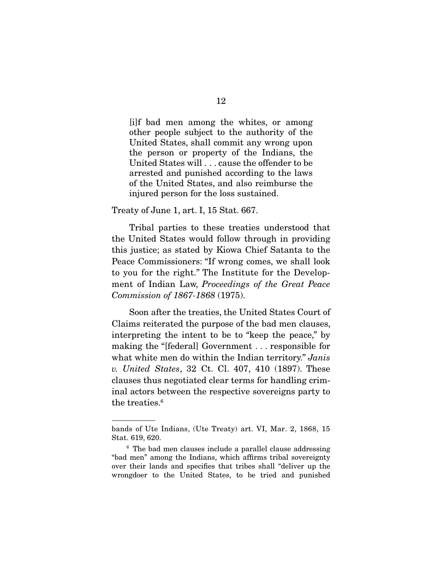[i]f bad men among the whites, or among other people subject to the authority of the United States, shall commit any wrong upon the person or property of the Indians, the United States will . . . cause the offender to be arrested and punished according to the laws of the United States, and also reimburse the injured person for the loss sustained.

#### Treaty of June 1, art. I, 15 Stat. 667.

 Tribal parties to these treaties understood that the United States would follow through in providing this justice; as stated by Kiowa Chief Satanta to the Peace Commissioners: "If wrong comes, we shall look to you for the right." The Institute for the Development of Indian Law, Proceedings of the Great Peace Commission of 1867-1868 (1975).

 Soon after the treaties, the United States Court of Claims reiterated the purpose of the bad men clauses, interpreting the intent to be to "keep the peace," by making the "[federal] Government . . . responsible for what white men do within the Indian territory." Janis v. United States, 32 Ct. Cl. 407, 410 (1897). These clauses thus negotiated clear terms for handling criminal actors between the respective sovereigns party to the treaties.<sup>6</sup>

bands of Ute Indians, (Ute Treaty) art. VI, Mar. 2, 1868, 15 Stat. 619, 620.

<sup>6</sup> The bad men clauses include a parallel clause addressing "bad men" among the Indians, which affirms tribal sovereignty over their lands and specifies that tribes shall "deliver up the wrongdoer to the United States, to be tried and punished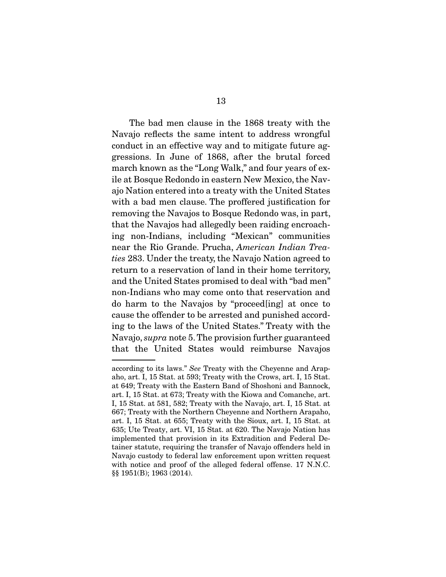The bad men clause in the 1868 treaty with the Navajo reflects the same intent to address wrongful conduct in an effective way and to mitigate future aggressions. In June of 1868, after the brutal forced march known as the "Long Walk," and four years of exile at Bosque Redondo in eastern New Mexico, the Navajo Nation entered into a treaty with the United States with a bad men clause. The proffered justification for removing the Navajos to Bosque Redondo was, in part, that the Navajos had allegedly been raiding encroaching non-Indians, including "Mexican" communities near the Rio Grande. Prucha, American Indian Treaties 283. Under the treaty, the Navajo Nation agreed to return to a reservation of land in their home territory, and the United States promised to deal with "bad men" non-Indians who may come onto that reservation and do harm to the Navajos by "proceed[ing] at once to cause the offender to be arrested and punished according to the laws of the United States." Treaty with the Navajo, supra note 5. The provision further guaranteed that the United States would reimburse Navajos

according to its laws." See Treaty with the Cheyenne and Arapaho, art. I, 15 Stat. at 593; Treaty with the Crows, art. I, 15 Stat. at 649; Treaty with the Eastern Band of Shoshoni and Bannock, art. I, 15 Stat. at 673; Treaty with the Kiowa and Comanche, art. I, 15 Stat. at 581, 582; Treaty with the Navajo, art. I, 15 Stat. at 667; Treaty with the Northern Cheyenne and Northern Arapaho, art. I, 15 Stat. at 655; Treaty with the Sioux, art. I, 15 Stat. at 635; Ute Treaty, art. VI, 15 Stat. at 620. The Navajo Nation has implemented that provision in its Extradition and Federal Detainer statute, requiring the transfer of Navajo offenders held in Navajo custody to federal law enforcement upon written request with notice and proof of the alleged federal offense. 17 N.N.C. §§ 1951(B); 1963 (2014).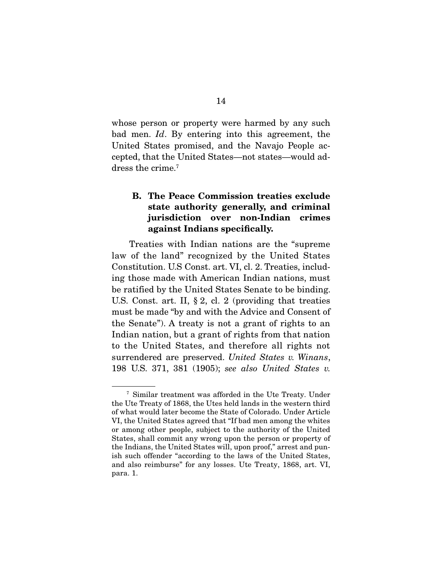whose person or property were harmed by any such bad men. Id. By entering into this agreement, the United States promised, and the Navajo People accepted, that the United States—not states—would address the crime.<sup>7</sup>

### **B. The Peace Commission treaties exclude state authority generally, and criminal jurisdiction over non-Indian crimes against Indians specifically.**

 Treaties with Indian nations are the "supreme law of the land" recognized by the United States Constitution. U.S Const. art. VI, cl. 2. Treaties, including those made with American Indian nations, must be ratified by the United States Senate to be binding. U.S. Const. art. II, § 2, cl. 2 (providing that treaties must be made "by and with the Advice and Consent of the Senate"). A treaty is not a grant of rights to an Indian nation, but a grant of rights from that nation to the United States, and therefore all rights not surrendered are preserved. United States v. Winans, 198 U.S. 371, 381 (1905); see also United States v.

<sup>7</sup> Similar treatment was afforded in the Ute Treaty. Under the Ute Treaty of 1868, the Utes held lands in the western third of what would later become the State of Colorado. Under Article VI, the United States agreed that "If bad men among the whites or among other people, subject to the authority of the United States, shall commit any wrong upon the person or property of the Indians, the United States will, upon proof," arrest and punish such offender "according to the laws of the United States, and also reimburse" for any losses. Ute Treaty, 1868, art. VI, para. 1.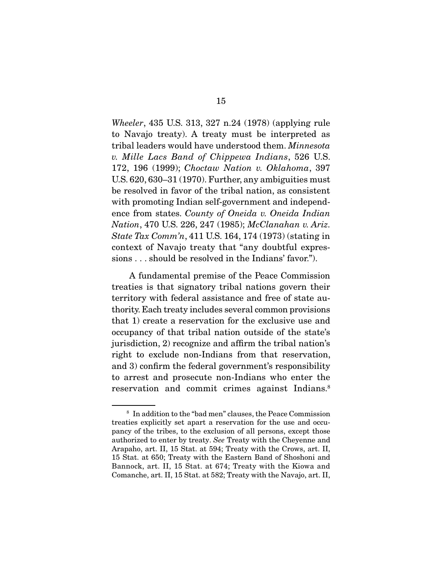Wheeler, 435 U.S. 313, 327 n.24 (1978) (applying rule to Navajo treaty). A treaty must be interpreted as tribal leaders would have understood them. Minnesota v. Mille Lacs Band of Chippewa Indians, 526 U.S. 172, 196 (1999); Choctaw Nation v. Oklahoma, 397 U.S. 620, 630–31 (1970). Further, any ambiguities must be resolved in favor of the tribal nation, as consistent with promoting Indian self-government and independence from states. County of Oneida v. Oneida Indian Nation, 470 U.S. 226, 247 (1985); McClanahan v. Ariz. State Tax Comm'n, 411 U.S. 164, 174 (1973) (stating in context of Navajo treaty that "any doubtful expressions . . . should be resolved in the Indians' favor.").

 A fundamental premise of the Peace Commission treaties is that signatory tribal nations govern their territory with federal assistance and free of state authority. Each treaty includes several common provisions that 1) create a reservation for the exclusive use and occupancy of that tribal nation outside of the state's jurisdiction, 2) recognize and affirm the tribal nation's right to exclude non-Indians from that reservation, and 3) confirm the federal government's responsibility to arrest and prosecute non-Indians who enter the reservation and commit crimes against Indians.<sup>8</sup>

<sup>8</sup> In addition to the "bad men" clauses, the Peace Commission treaties explicitly set apart a reservation for the use and occupancy of the tribes, to the exclusion of all persons, except those authorized to enter by treaty. See Treaty with the Cheyenne and Arapaho, art. II, 15 Stat. at 594; Treaty with the Crows, art. II, 15 Stat. at 650; Treaty with the Eastern Band of Shoshoni and Bannock, art. II, 15 Stat. at 674; Treaty with the Kiowa and Comanche, art. II, 15 Stat. at 582; Treaty with the Navajo, art. II,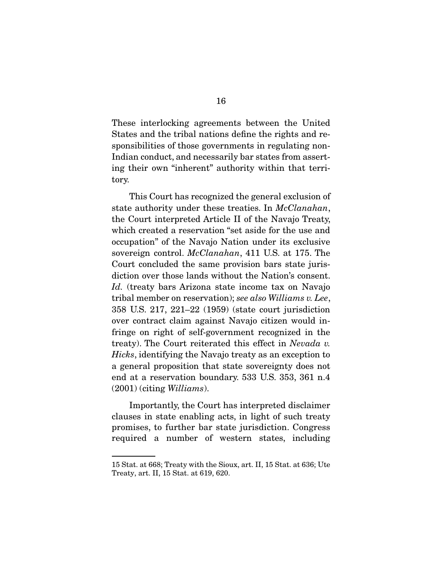These interlocking agreements between the United States and the tribal nations define the rights and responsibilities of those governments in regulating non-Indian conduct, and necessarily bar states from asserting their own "inherent" authority within that territory.

 This Court has recognized the general exclusion of state authority under these treaties. In *McClanahan*, the Court interpreted Article II of the Navajo Treaty, which created a reservation "set aside for the use and occupation" of the Navajo Nation under its exclusive sovereign control. *McClanahan*, 411 U.S. at 175. The Court concluded the same provision bars state jurisdiction over those lands without the Nation's consent. Id. (treaty bars Arizona state income tax on Navajo tribal member on reservation); see also Williams v. Lee, 358 U.S. 217, 221–22 (1959) (state court jurisdiction over contract claim against Navajo citizen would infringe on right of self-government recognized in the treaty). The Court reiterated this effect in Nevada v. Hicks, identifying the Navajo treaty as an exception to a general proposition that state sovereignty does not end at a reservation boundary. 533 U.S. 353, 361 n.4 (2001) (citing Williams).

 Importantly, the Court has interpreted disclaimer clauses in state enabling acts, in light of such treaty promises, to further bar state jurisdiction. Congress required a number of western states, including

<sup>15</sup> Stat. at 668; Treaty with the Sioux, art. II, 15 Stat. at 636; Ute Treaty, art. II, 15 Stat. at 619, 620.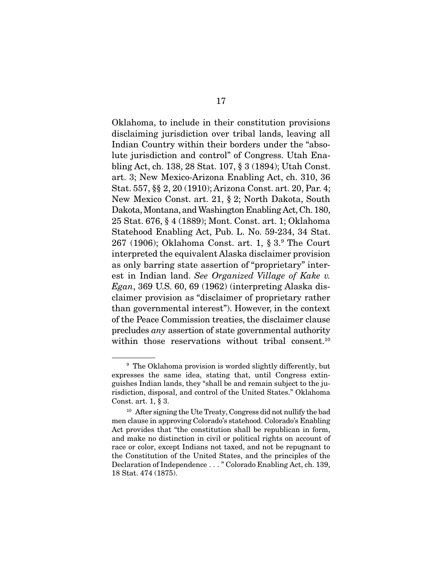Oklahoma, to include in their constitution provisions disclaiming jurisdiction over tribal lands, leaving all Indian Country within their borders under the "absolute jurisdiction and control" of Congress. Utah Enabling Act, ch. 138, 28 Stat. 107, § 3 (1894); Utah Const. art. 3; New Mexico-Arizona Enabling Act, ch. 310, 36 Stat. 557, §§ 2, 20 (1910); Arizona Const. art. 20, Par. 4; New Mexico Const. art. 21, § 2; North Dakota, South Dakota, Montana, and Washington Enabling Act, Ch. 180, 25 Stat. 676, § 4 (1889); Mont. Const. art. 1; Oklahoma Statehood Enabling Act, Pub. L. No. 59-234, 34 Stat. 267 (1906); Oklahoma Const. art. 1, § 3.9 The Court interpreted the equivalent Alaska disclaimer provision as only barring state assertion of "proprietary" interest in Indian land. See Organized Village of Kake v.  $Egan$ , 369 U.S. 60, 69 (1962) (interpreting Alaska disclaimer provision as "disclaimer of proprietary rather than governmental interest"). However, in the context of the Peace Commission treaties, the disclaimer clause precludes any assertion of state governmental authority within those reservations without tribal consent.<sup>10</sup>

<sup>&</sup>lt;sup>9</sup> The Oklahoma provision is worded slightly differently, but expresses the same idea, stating that, until Congress extinguishes Indian lands, they "shall be and remain subject to the jurisdiction, disposal, and control of the United States." Oklahoma Const. art. 1, § 3.

<sup>10</sup> After signing the Ute Treaty, Congress did not nullify the bad men clause in approving Colorado's statehood. Colorado's Enabling Act provides that "the constitution shall be republican in form, and make no distinction in civil or political rights on account of race or color, except Indians not taxed, and not be repugnant to the Constitution of the United States, and the principles of the Declaration of Independence . . . " Colorado Enabling Act, ch. 139, 18 Stat. 474 (1875).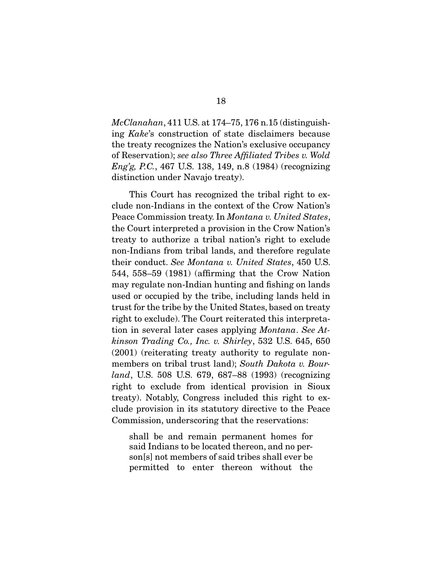$McClanahan$ , 411 U.S. at 174–75, 176 n.15 (distinguishing Kake's construction of state disclaimers because the treaty recognizes the Nation's exclusive occupancy of Reservation); see also Three Affiliated Tribes v. Wold Eng'g, P.C., 467 U.S. 138, 149, n.8 (1984) (recognizing distinction under Navajo treaty).

 This Court has recognized the tribal right to exclude non-Indians in the context of the Crow Nation's Peace Commission treaty. In *Montana v. United States*, the Court interpreted a provision in the Crow Nation's treaty to authorize a tribal nation's right to exclude non-Indians from tribal lands, and therefore regulate their conduct. See Montana v. United States, 450 U.S. 544, 558–59 (1981) (affirming that the Crow Nation may regulate non-Indian hunting and fishing on lands used or occupied by the tribe, including lands held in trust for the tribe by the United States, based on treaty right to exclude). The Court reiterated this interpretation in several later cases applying Montana. See Atkinson Trading Co., Inc. v. Shirley, 532 U.S. 645, 650 (2001) (reiterating treaty authority to regulate nonmembers on tribal trust land); South Dakota v. Bourland, U.S. 508 U.S. 679, 687–88 (1993) (recognizing right to exclude from identical provision in Sioux treaty). Notably, Congress included this right to exclude provision in its statutory directive to the Peace Commission, underscoring that the reservations:

shall be and remain permanent homes for said Indians to be located thereon, and no person[s] not members of said tribes shall ever be permitted to enter thereon without the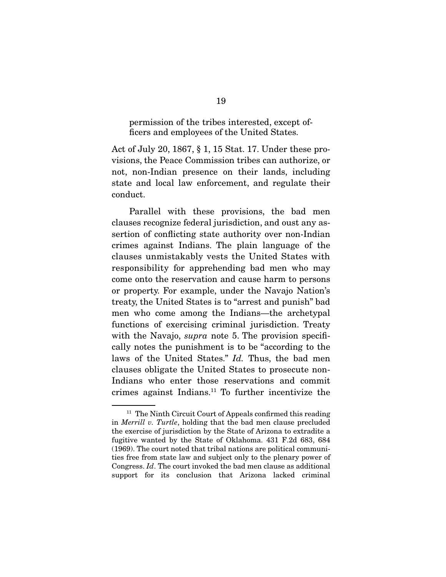#### permission of the tribes interested, except officers and employees of the United States.

Act of July 20, 1867, § 1, 15 Stat. 17. Under these provisions, the Peace Commission tribes can authorize, or not, non-Indian presence on their lands, including state and local law enforcement, and regulate their conduct.

 Parallel with these provisions, the bad men clauses recognize federal jurisdiction, and oust any assertion of conflicting state authority over non-Indian crimes against Indians. The plain language of the clauses unmistakably vests the United States with responsibility for apprehending bad men who may come onto the reservation and cause harm to persons or property. For example, under the Navajo Nation's treaty, the United States is to "arrest and punish" bad men who come among the Indians—the archetypal functions of exercising criminal jurisdiction. Treaty with the Navajo, *supra* note 5. The provision specifically notes the punishment is to be "according to the laws of the United States." Id. Thus, the bad men clauses obligate the United States to prosecute non-Indians who enter those reservations and commit crimes against Indians.11 To further incentivize the

 $11$  The Ninth Circuit Court of Appeals confirmed this reading in Merrill v. Turtle, holding that the bad men clause precluded the exercise of jurisdiction by the State of Arizona to extradite a fugitive wanted by the State of Oklahoma. 431 F.2d 683, 684 (1969). The court noted that tribal nations are political communities free from state law and subject only to the plenary power of Congress. Id. The court invoked the bad men clause as additional support for its conclusion that Arizona lacked criminal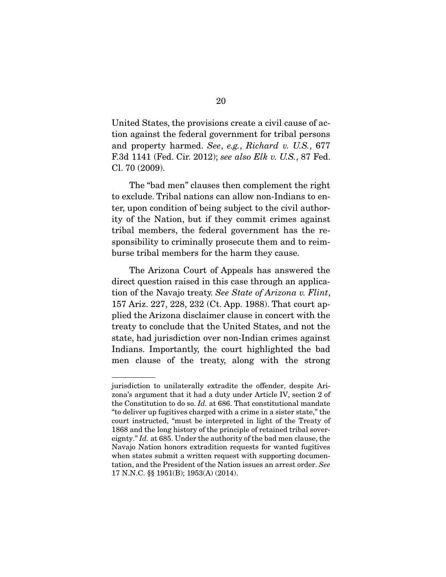United States, the provisions create a civil cause of action against the federal government for tribal persons and property harmed. See, e.g., Richard v. U.S., 677 F.3d 1141 (Fed. Cir. 2012); see also Elk v. U.S., 87 Fed. Cl. 70 (2009).

 The "bad men" clauses then complement the right to exclude. Tribal nations can allow non-Indians to enter, upon condition of being subject to the civil authority of the Nation, but if they commit crimes against tribal members, the federal government has the responsibility to criminally prosecute them and to reimburse tribal members for the harm they cause.

 The Arizona Court of Appeals has answered the direct question raised in this case through an application of the Navajo treaty. See State of Arizona v. Flint, 157 Ariz. 227, 228, 232 (Ct. App. 1988). That court applied the Arizona disclaimer clause in concert with the treaty to conclude that the United States, and not the state, had jurisdiction over non-Indian crimes against Indians. Importantly, the court highlighted the bad men clause of the treaty, along with the strong

jurisdiction to unilaterally extradite the offender, despite Arizona's argument that it had a duty under Article IV, section 2 of the Constitution to do so. Id. at 686. That constitutional mandate "to deliver up fugitives charged with a crime in a sister state," the court instructed, "must be interpreted in light of the Treaty of 1868 and the long history of the principle of retained tribal sovereignty." Id. at 685. Under the authority of the bad men clause, the Navajo Nation honors extradition requests for wanted fugitives when states submit a written request with supporting documentation, and the President of the Nation issues an arrest order. See 17 N.N.C. §§ 1951(B); 1953(A) (2014).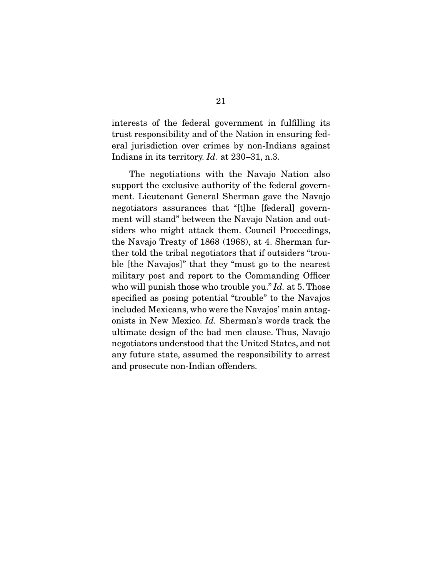interests of the federal government in fulfilling its trust responsibility and of the Nation in ensuring federal jurisdiction over crimes by non-Indians against Indians in its territory. *Id.* at 230–31, n.3.

 The negotiations with the Navajo Nation also support the exclusive authority of the federal government. Lieutenant General Sherman gave the Navajo negotiators assurances that "[t]he [federal] government will stand" between the Navajo Nation and outsiders who might attack them. Council Proceedings, the Navajo Treaty of 1868 (1968), at 4. Sherman further told the tribal negotiators that if outsiders "trouble [the Navajos]" that they "must go to the nearest military post and report to the Commanding Officer who will punish those who trouble you." Id. at 5. Those specified as posing potential "trouble" to the Navajos included Mexicans, who were the Navajos' main antagonists in New Mexico. Id. Sherman's words track the ultimate design of the bad men clause. Thus, Navajo negotiators understood that the United States, and not any future state, assumed the responsibility to arrest and prosecute non-Indian offenders.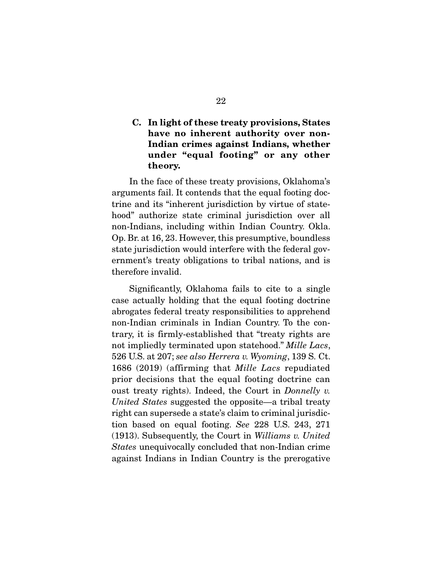### **C. In light of these treaty provisions, States have no inherent authority over non-Indian crimes against Indians, whether under "equal footing" or any other theory.**

 In the face of these treaty provisions, Oklahoma's arguments fail. It contends that the equal footing doctrine and its "inherent jurisdiction by virtue of statehood" authorize state criminal jurisdiction over all non-Indians, including within Indian Country. Okla. Op. Br. at 16, 23. However, this presumptive, boundless state jurisdiction would interfere with the federal government's treaty obligations to tribal nations, and is therefore invalid.

 Significantly, Oklahoma fails to cite to a single case actually holding that the equal footing doctrine abrogates federal treaty responsibilities to apprehend non-Indian criminals in Indian Country. To the contrary, it is firmly-established that "treaty rights are not impliedly terminated upon statehood." Mille Lacs, 526 U.S. at 207; see also Herrera v. Wyoming, 139 S. Ct. 1686 (2019) (affirming that Mille Lacs repudiated prior decisions that the equal footing doctrine can oust treaty rights). Indeed, the Court in Donnelly v. United States suggested the opposite—a tribal treaty right can supersede a state's claim to criminal jurisdiction based on equal footing. See 228 U.S. 243, 271 (1913). Subsequently, the Court in Williams v. United States unequivocally concluded that non-Indian crime against Indians in Indian Country is the prerogative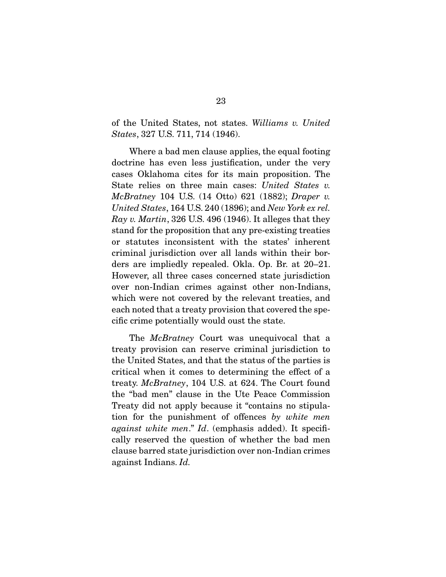of the United States, not states. Williams v. United States, 327 U.S. 711, 714 (1946).

 Where a bad men clause applies, the equal footing doctrine has even less justification, under the very cases Oklahoma cites for its main proposition. The State relies on three main cases: United States v. McBratney 104 U.S. (14 Otto) 621 (1882); Draper v. United States, 164 U.S. 240 (1896); and New York ex rel. Ray v. Martin, 326 U.S. 496 (1946). It alleges that they stand for the proposition that any pre-existing treaties or statutes inconsistent with the states' inherent criminal jurisdiction over all lands within their borders are impliedly repealed. Okla. Op. Br. at 20–21. However, all three cases concerned state jurisdiction over non-Indian crimes against other non-Indians, which were not covered by the relevant treaties, and each noted that a treaty provision that covered the specific crime potentially would oust the state.

The *McBratney* Court was unequivocal that a treaty provision can reserve criminal jurisdiction to the United States, and that the status of the parties is critical when it comes to determining the effect of a treaty. McBratney, 104 U.S. at 624. The Court found the "bad men" clause in the Ute Peace Commission Treaty did not apply because it "contains no stipulation for the punishment of offences by white men against white men." Id. (emphasis added). It specifically reserved the question of whether the bad men clause barred state jurisdiction over non-Indian crimes against Indians. Id.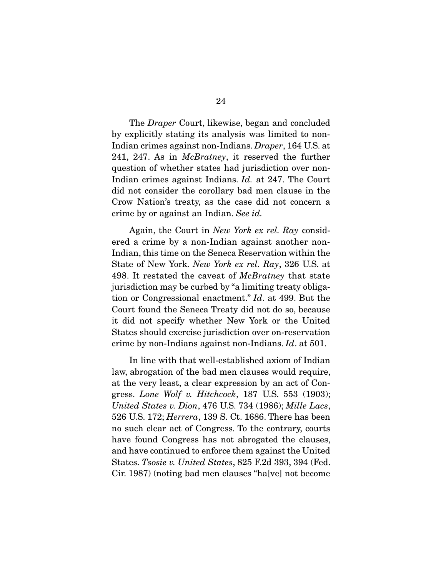The Draper Court, likewise, began and concluded by explicitly stating its analysis was limited to non-Indian crimes against non-Indians. Draper, 164 U.S. at 241, 247. As in *McBratney*, it reserved the further question of whether states had jurisdiction over non-Indian crimes against Indians. Id. at 247. The Court did not consider the corollary bad men clause in the Crow Nation's treaty, as the case did not concern a crime by or against an Indian. See id.

 Again, the Court in New York ex rel. Ray considered a crime by a non-Indian against another non-Indian, this time on the Seneca Reservation within the State of New York. New York ex rel. Ray, 326 U.S. at 498. It restated the caveat of McBratney that state jurisdiction may be curbed by "a limiting treaty obligation or Congressional enactment." Id. at 499. But the Court found the Seneca Treaty did not do so, because it did not specify whether New York or the United States should exercise jurisdiction over on-reservation crime by non-Indians against non-Indians. Id. at 501.

 In line with that well-established axiom of Indian law, abrogation of the bad men clauses would require, at the very least, a clear expression by an act of Congress. Lone Wolf v. Hitchcock, 187 U.S. 553 (1903); United States v. Dion, 476 U.S. 734 (1986); Mille Lacs, 526 U.S. 172; Herrera, 139 S. Ct. 1686. There has been no such clear act of Congress. To the contrary, courts have found Congress has not abrogated the clauses, and have continued to enforce them against the United States. Tsosie v. United States, 825 F.2d 393, 394 (Fed. Cir. 1987) (noting bad men clauses "ha[ve] not become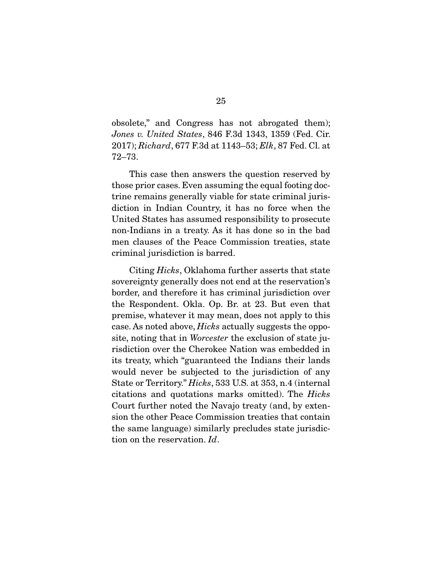obsolete," and Congress has not abrogated them); Jones v. United States, 846 F.3d 1343, 1359 (Fed. Cir. 2017); Richard, 677 F.3d at 1143–53; Elk, 87 Fed. Cl. at 72–73.

 This case then answers the question reserved by those prior cases. Even assuming the equal footing doctrine remains generally viable for state criminal jurisdiction in Indian Country, it has no force when the United States has assumed responsibility to prosecute non-Indians in a treaty. As it has done so in the bad men clauses of the Peace Commission treaties, state criminal jurisdiction is barred.

 Citing Hicks, Oklahoma further asserts that state sovereignty generally does not end at the reservation's border, and therefore it has criminal jurisdiction over the Respondent. Okla. Op. Br. at 23. But even that premise, whatever it may mean, does not apply to this case. As noted above, *Hicks* actually suggests the opposite, noting that in Worcester the exclusion of state jurisdiction over the Cherokee Nation was embedded in its treaty, which "guaranteed the Indians their lands would never be subjected to the jurisdiction of any State or Territory." Hicks, 533 U.S. at 353, n.4 (internal citations and quotations marks omitted). The Hicks Court further noted the Navajo treaty (and, by extension the other Peace Commission treaties that contain the same language) similarly precludes state jurisdiction on the reservation. Id.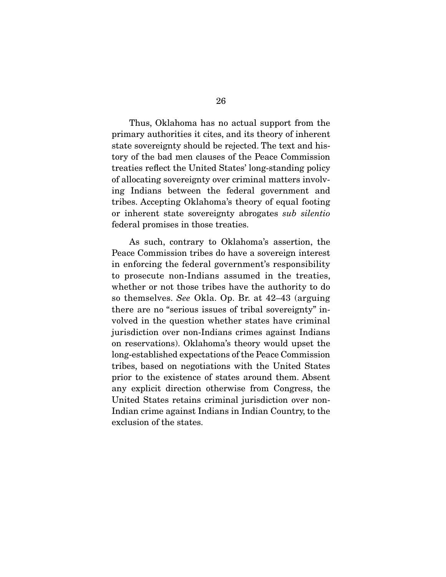Thus, Oklahoma has no actual support from the primary authorities it cites, and its theory of inherent state sovereignty should be rejected. The text and history of the bad men clauses of the Peace Commission treaties reflect the United States' long-standing policy of allocating sovereignty over criminal matters involving Indians between the federal government and tribes. Accepting Oklahoma's theory of equal footing or inherent state sovereignty abrogates sub silentio federal promises in those treaties.

 As such, contrary to Oklahoma's assertion, the Peace Commission tribes do have a sovereign interest in enforcing the federal government's responsibility to prosecute non-Indians assumed in the treaties, whether or not those tribes have the authority to do so themselves. See Okla. Op. Br. at 42–43 (arguing there are no "serious issues of tribal sovereignty" involved in the question whether states have criminal jurisdiction over non-Indians crimes against Indians on reservations). Oklahoma's theory would upset the long-established expectations of the Peace Commission tribes, based on negotiations with the United States prior to the existence of states around them. Absent any explicit direction otherwise from Congress, the United States retains criminal jurisdiction over non-Indian crime against Indians in Indian Country, to the exclusion of the states.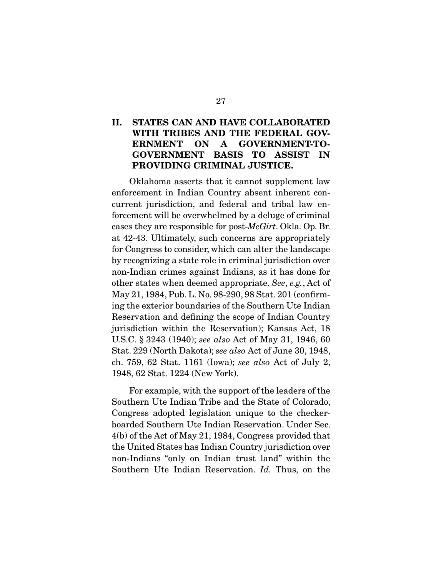### **II. STATES CAN AND HAVE COLLABORATED WITH TRIBES AND THE FEDERAL GOV-ERNMENT ON A GOVERNMENT-TO-GOVERNMENT BASIS TO ASSIST IN PROVIDING CRIMINAL JUSTICE.**

 Oklahoma asserts that it cannot supplement law enforcement in Indian Country absent inherent concurrent jurisdiction, and federal and tribal law enforcement will be overwhelmed by a deluge of criminal cases they are responsible for post-McGirt. Okla. Op. Br. at 42-43. Ultimately, such concerns are appropriately for Congress to consider, which can alter the landscape by recognizing a state role in criminal jurisdiction over non-Indian crimes against Indians, as it has done for other states when deemed appropriate. See, e.g., Act of May 21, 1984, Pub. L. No. 98-290, 98 Stat. 201 (confirming the exterior boundaries of the Southern Ute Indian Reservation and defining the scope of Indian Country jurisdiction within the Reservation); Kansas Act, 18 U.S.C. § 3243 (1940); see also Act of May 31, 1946, 60 Stat. 229 (North Dakota); see also Act of June 30, 1948, ch. 759, 62 Stat. 1161 (Iowa); see also Act of July 2, 1948, 62 Stat. 1224 (New York).

 For example, with the support of the leaders of the Southern Ute Indian Tribe and the State of Colorado, Congress adopted legislation unique to the checkerboarded Southern Ute Indian Reservation. Under Sec. 4(b) of the Act of May 21, 1984, Congress provided that the United States has Indian Country jurisdiction over non-Indians "only on Indian trust land" within the Southern Ute Indian Reservation. Id. Thus, on the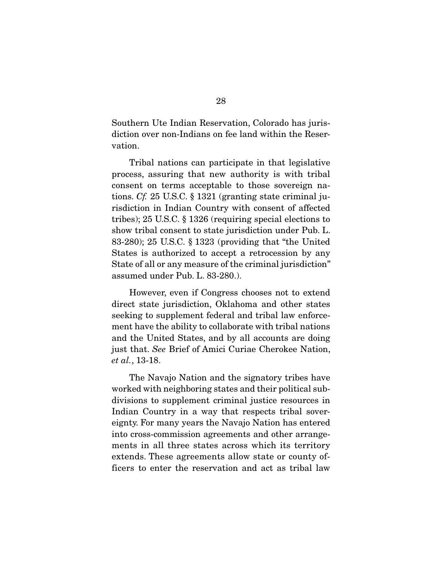Southern Ute Indian Reservation, Colorado has jurisdiction over non-Indians on fee land within the Reservation.

 Tribal nations can participate in that legislative process, assuring that new authority is with tribal consent on terms acceptable to those sovereign nations. Cf. 25 U.S.C. § 1321 (granting state criminal jurisdiction in Indian Country with consent of affected tribes); 25 U.S.C. § 1326 (requiring special elections to show tribal consent to state jurisdiction under Pub. L. 83-280); 25 U.S.C. § 1323 (providing that "the United States is authorized to accept a retrocession by any State of all or any measure of the criminal jurisdiction" assumed under Pub. L. 83-280.).

 However, even if Congress chooses not to extend direct state jurisdiction, Oklahoma and other states seeking to supplement federal and tribal law enforcement have the ability to collaborate with tribal nations and the United States, and by all accounts are doing just that. See Brief of Amici Curiae Cherokee Nation, et al., 13-18.

 The Navajo Nation and the signatory tribes have worked with neighboring states and their political subdivisions to supplement criminal justice resources in Indian Country in a way that respects tribal sovereignty. For many years the Navajo Nation has entered into cross-commission agreements and other arrangements in all three states across which its territory extends. These agreements allow state or county officers to enter the reservation and act as tribal law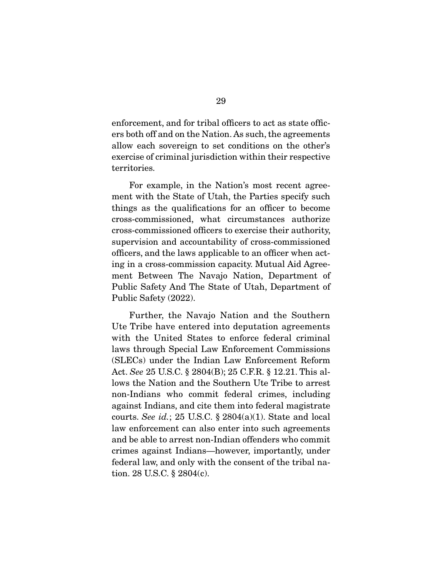enforcement, and for tribal officers to act as state officers both off and on the Nation. As such, the agreements allow each sovereign to set conditions on the other's exercise of criminal jurisdiction within their respective territories.

 For example, in the Nation's most recent agreement with the State of Utah, the Parties specify such things as the qualifications for an officer to become cross-commissioned, what circumstances authorize cross-commissioned officers to exercise their authority, supervision and accountability of cross-commissioned officers, and the laws applicable to an officer when acting in a cross-commission capacity. Mutual Aid Agreement Between The Navajo Nation, Department of Public Safety And The State of Utah, Department of Public Safety (2022).

 Further, the Navajo Nation and the Southern Ute Tribe have entered into deputation agreements with the United States to enforce federal criminal laws through Special Law Enforcement Commissions (SLECs) under the Indian Law Enforcement Reform Act. See 25 U.S.C. § 2804(B); 25 C.F.R. § 12.21. This allows the Nation and the Southern Ute Tribe to arrest non-Indians who commit federal crimes, including against Indians, and cite them into federal magistrate courts. See id.; 25 U.S.C.  $\S$  2804(a)(1). State and local law enforcement can also enter into such agreements and be able to arrest non-Indian offenders who commit crimes against Indians—however, importantly, under federal law, and only with the consent of the tribal nation. 28 U.S.C. § 2804(c).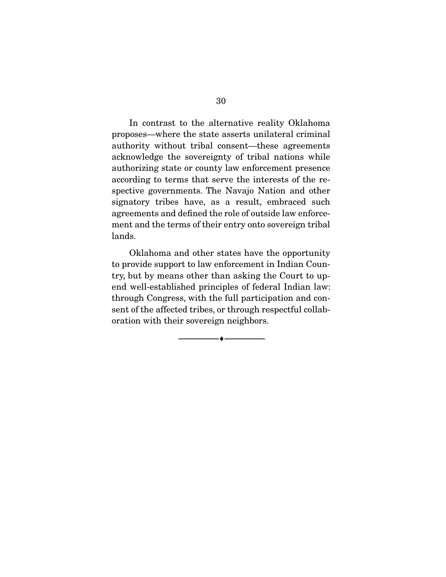In contrast to the alternative reality Oklahoma proposes—where the state asserts unilateral criminal authority without tribal consent—these agreements acknowledge the sovereignty of tribal nations while authorizing state or county law enforcement presence according to terms that serve the interests of the respective governments. The Navajo Nation and other signatory tribes have, as a result, embraced such agreements and defined the role of outside law enforcement and the terms of their entry onto sovereign tribal lands.

 Oklahoma and other states have the opportunity to provide support to law enforcement in Indian Country, but by means other than asking the Court to upend well-established principles of federal Indian law: through Congress, with the full participation and consent of the affected tribes, or through respectful collaboration with their sovereign neighbors.

--------------------------------- ♦ ---------------------------------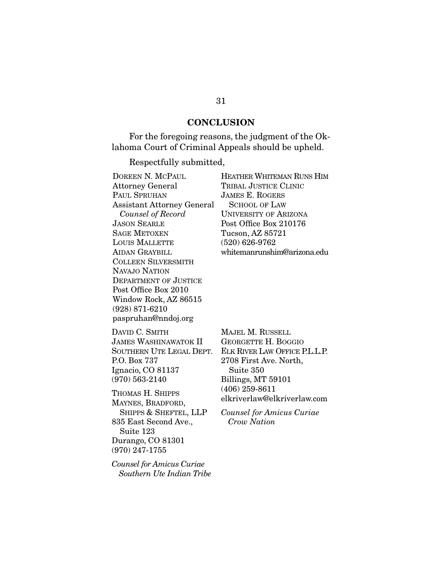#### **CONCLUSION**

 For the foregoing reasons, the judgment of the Oklahoma Court of Criminal Appeals should be upheld.

Respectfully submitted,

| DOREEN N. MCPAUL                  | HEATHER WHITEMAN RUNS HIM    |
|-----------------------------------|------------------------------|
| <b>Attorney General</b>           | TRIBAL JUSTICE CLINIC        |
| PAUL SPRUHAN                      | <b>JAMES E. ROGERS</b>       |
| <b>Assistant Attorney General</b> | <b>SCHOOL OF LAW</b>         |
| Counsel of Record                 | <b>UNIVERSITY OF ARIZONA</b> |
| <b>JASON SEARLE</b>               | Post Office Box 210176       |
| <b>SAGE METOXEN</b>               | Tucson, AZ 85721             |
| LOUIS MALLETTE                    | $(520)$ 626-9762             |
| <b>AIDAN GRAYBILL</b>             | whitemanrunshim@arizona.edu  |
| <b>COLLEEN SILVERSMITH</b>        |                              |
| NAVAJO NATION                     |                              |
| DEPARTMENT OF JUSTICE             |                              |
| Post Office Box 2010              |                              |
| Window Rock, AZ 86515             |                              |
| $(928)$ 871-6210                  |                              |
| paspruhan@nndoj.org               |                              |
| DAVID C. SMITH                    | MAJEL M. RUSSELL             |
| JAMES WASHINAWATOK II             | GEORGETTE H. BOGGIO          |
| SOUTHERN UTE LEGAL DEPT.          | ELK RIVER LAW OFFICE PLLL P  |

SOUTHERN UTE LEGAL DEPT. P.O. Box 737 Ignacio, CO 81137 (970) 563-2140

THOMAS H. SHIPPS MAYNES, BRADFORD, SHIPPS & SHEFTEL, LLP 835 East Second Ave., Suite 123 Durango, CO 81301 (970) 247-1755

Counsel for Amicus Curiae Southern Ute Indian Tribe

GGIO FICE P.L.L.P. 2708 First Ave. North, Suite 350 Billings, MT 59101 (406) 259-8611 elkriverlaw@elkriverlaw.com

Counsel for Amicus Curiae Crow Nation